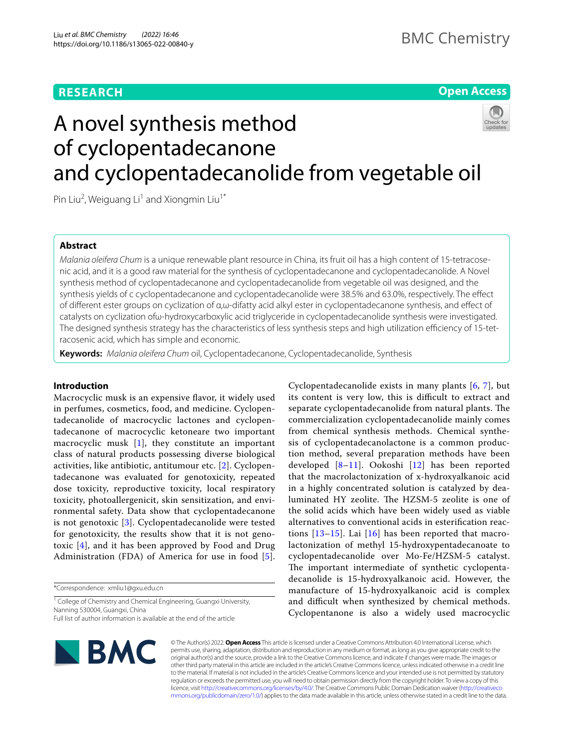# **RESEARCH**

# **Open Access**

# A novel synthesis method of cyclopentadecanone and cyclopentadecanolide from vegetable oil

Pin Liu<sup>2</sup>, Weiguang Li<sup>1</sup> and Xiongmin Liu<sup>1\*</sup>

# **Abstract**

*Malania oleifera Chum* is a unique renewable plant resource in China, its fruit oil has a high content of 15-tetracosenic acid, and it is a good raw material for the synthesis of cyclopentadecanone and cyclopentadecanolide. A Novel synthesis method of cyclopentadecanone and cyclopentadecanolide from vegetable oil was designed, and the synthesis yields of c cyclopentadecanone and cyclopentadecanolide were 38.5% and 63.0%, respectively. The efect of diferent ester groups on cyclization of α,ω-difatty acid alkyl ester in cyclopentadecanone synthesis, and efect of catalysts on cyclization ofω-hydroxycarboxylic acid triglyceride in cyclopentadecanolide synthesis were investigated. The designed synthesis strategy has the characteristics of less synthesis steps and high utilization efficiency of 15-tetracosenic acid, which has simple and economic.

**Keywords:** *Malania oleifera Chum* oil, Cyclopentadecanone, Cyclopentadecanolide, Synthesis

# **Introduction**

Macrocyclic musk is an expensive favor, it widely used in perfumes, cosmetics, food, and medicine. Cyclopentadecanolide of macrocyclic lactones and cyclopentadecanone of macrocyclic ketoneare two important macrocyclic musk [[1\]](#page-5-0), they constitute an important class of natural products possessing diverse biological activities, like antibiotic, antitumour etc. [[2](#page-5-1)]. Cyclopentadecanone was evaluated for genotoxicity, repeated dose toxicity, reproductive toxicity, local respiratory toxicity, photoallergenicit, skin sensitization, and environmental safety. Data show that cyclopentadecanone is not genotoxic [[3\]](#page-5-2). Cyclopentadecanolide were tested for genotoxicity, the results show that it is not genotoxic [\[4](#page-5-3)], and it has been approved by Food and Drug Administration (FDA) of America for use in food [[5\]](#page-5-4).

\*Correspondence: xmliu1@gxu.edu.cn

<sup>1</sup> College of Chemistry and Chemical Engineering, Guangxi University, Nanning 530004, Guangxi, China Full list of author information is available at the end of the article

Cyclopentadecanolide exists in many plants [\[6,](#page-5-5) [7](#page-5-6)], but its content is very low, this is difficult to extract and separate cyclopentadecanolide from natural plants. The commercialization cyclopentadecanolide mainly comes from chemical synthesis methods. Chemical synthesis of cyclopentadecanolactone is a common production method, several preparation methods have been developed  $[8-11]$  $[8-11]$ . Ookoshi  $[12]$  $[12]$  has been reported that the macrolactonization of x-hydroxyalkanoic acid in a highly concentrated solution is catalyzed by dealuminated HY zeolite. The HZSM-5 zeolite is one of the solid acids which have been widely used as viable alternatives to conventional acids in esterifcation reactions  $[13-15]$  $[13-15]$ . Lai  $[16]$  $[16]$  has been reported that macrolactonization of methyl 15-hydroxypentadecanoate to cyclopentadecanolide over Mo-Fe/HZSM-5 catalyst. The important intermediate of synthetic cyclopentadecanolide is 15-hydroxyalkanoic acid. However, the manufacture of 15-hydroxyalkanoic acid is complex and difficult when synthesized by chemical methods. Cyclopentanone is also a widely used macrocyclic



© The Author(s) 2022. **Open Access** This article is licensed under a Creative Commons Attribution 4.0 International License, which permits use, sharing, adaptation, distribution and reproduction in any medium or format, as long as you give appropriate credit to the original author(s) and the source, provide a link to the Creative Commons licence, and indicate if changes were made. The images or other third party material in this article are included in the article's Creative Commons licence, unless indicated otherwise in a credit line to the material. If material is not included in the article's Creative Commons licence and your intended use is not permitted by statutory regulation or exceeds the permitted use, you will need to obtain permission directly from the copyright holder. To view a copy of this licence, visit [http://creativecommons.org/licenses/by/4.0/.](http://creativecommons.org/licenses/by/4.0/) The Creative Commons Public Domain Dedication waiver ([http://creativeco](http://creativecommons.org/publicdomain/zero/1.0/) [mmons.org/publicdomain/zero/1.0/](http://creativecommons.org/publicdomain/zero/1.0/)) applies to the data made available in this article, unless otherwise stated in a credit line to the data.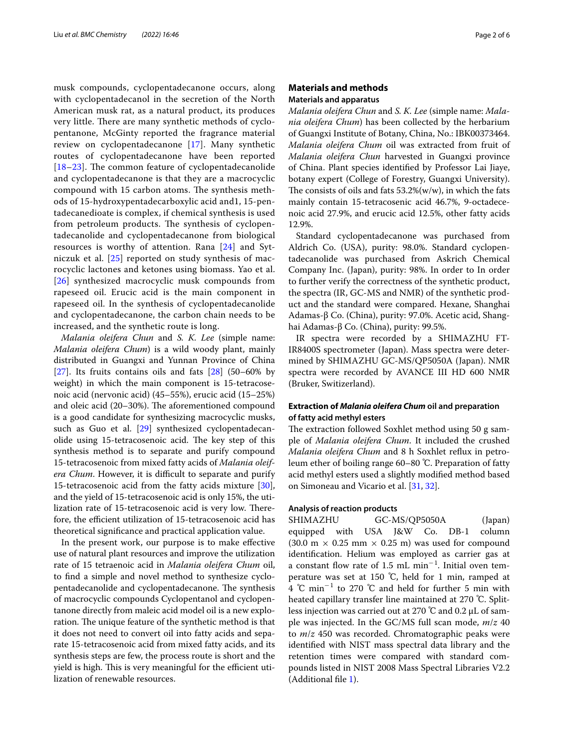musk compounds, cyclopentadecanone occurs, along with cyclopentadecanol in the secretion of the North American musk rat, as a natural product, its produces very little. There are many synthetic methods of cyclopentanone, McGinty reported the fragrance material review on cyclopentadecanone [\[17\]](#page-5-13). Many synthetic routes of cyclopentadecanone have been reported  $[18–23]$  $[18–23]$  $[18–23]$  $[18–23]$ . The common feature of cyclopentadecanolide and cyclopentadecanone is that they are a macrocyclic compound with 15 carbon atoms. The synthesis methods of 15-hydroxypentadecarboxylic acid and1, 15-pentadecanedioate is complex, if chemical synthesis is used from petroleum products. The synthesis of cyclopentadecanolide and cyclopentadecanone from biological resources is worthy of attention. Rana [\[24\]](#page-5-16) and Sytniczuk et al. [[25\]](#page-5-17) reported on study synthesis of macrocyclic lactones and ketones using biomass. Yao et al. [[26](#page-5-18)] synthesized macrocyclic musk compounds from rapeseed oil. Erucic acid is the main component in rapeseed oil. In the synthesis of cyclopentadecanolide and cyclopentadecanone, the carbon chain needs to be increased, and the synthetic route is long.

*Malania oleifera Chun* and *S. K. Lee* (simple name: *Malania oleifera Chum*) is a wild woody plant, mainly distributed in Guangxi and Yunnan Province of China [[27\]](#page-5-19). Its fruits contains oils and fats  $[28]$  $[28]$  $[28]$  (50–60% by weight) in which the main component is 15-tetracosenoic acid (nervonic acid) (45–55%), erucic acid (15–25%) and oleic acid  $(20-30%)$ . The aforementioned compound is a good candidate for synthesizing macrocyclic musks, such as Guo et al. [\[29](#page-5-21)] synthesized cyclopentadecanolide using 15-tetracosenoic acid. The key step of this synthesis method is to separate and purify compound 15-tetracosenoic from mixed fatty acids of *Malania oleifera Chum*. However, it is difficult to separate and purify 15-tetracosenoic acid from the fatty acids mixture [\[30](#page-5-22)], and the yield of 15-tetracosenoic acid is only 15%, the utilization rate of 15-tetracosenoic acid is very low. Therefore, the efficient utilization of 15-tetracosenoic acid has theoretical signifcance and practical application value.

In the present work, our purpose is to make efective use of natural plant resources and improve the utilization rate of 15 tetraenoic acid in *Malania oleifera Chum* oil, to fnd a simple and novel method to synthesize cyclopentadecanolide and cyclopentadecanone. The synthesis of macrocyclic compounds Cyclopentanol and cyclopentanone directly from maleic acid model oil is a new exploration. The unique feature of the synthetic method is that it does not need to convert oil into fatty acids and separate 15-tetracosenoic acid from mixed fatty acids, and its synthesis steps are few, the process route is short and the yield is high. This is very meaningful for the efficient utilization of renewable resources.

# **Materials and methods Materials and apparatus**

*Malania oleifera Chun* and *S. K. Lee* (simple name: *Malania oleifera Chum*) has been collected by the herbarium of Guangxi Institute of Botany, China, No.: IBK00373464. *Malania oleifera Chum* oil was extracted from fruit of *Malania oleifera Chun* harvested in Guangxi province of China. Plant species identifed by Professor Lai Jiaye, botany expert (College of Forestry, Guangxi University). The consists of oils and fats  $53.2\%$ (w/w), in which the fats mainly contain 15-tetracosenic acid 46.7%, 9-octadecenoic acid 27.9%, and erucic acid 12.5%, other fatty acids 12.9%.

Standard cyclopentadecanone was purchased from Aldrich Co. (USA), purity: 98.0%. Standard cyclopentadecanolide was purchased from Askrich Chemical Company Inc. (Japan), purity: 98%. In order to In order to further verify the correctness of the synthetic product, the spectra (IR, GC-MS and NMR) of the synthetic product and the standard were compared. Hexane, Shanghai Adamas-β Co. (China), purity: 97.0%. Acetic acid, Shanghai Adamas-β Co. (China), purity: 99.5%.

IR spectra were recorded by a SHIMAZHU FT-IR8400S spectrometer (Japan). Mass spectra were determined by SHIMAZHU GC-MS/QP5050A (Japan). NMR spectra were recorded by AVANCE III HD 600 NMR (Bruker, Switizerland).

# **Extraction of** *Malania oleifera Chum* **oil and preparation of fatty acid methyl esters**

The extraction followed Soxhlet method using 50 g sample of *Malania oleifera Chum*. It included the crushed *Malania oleifera Chum* and 8 h Soxhlet refux in petroleum ether of boiling range 60–80 ℃. Preparation of fatty acid methyl esters used a slightly modifed method based on Simoneau and Vicario et al. [[31,](#page-5-23) [32](#page-5-24)].

#### **Analysis of reaction products**

SHIMAZHU GC-MS/QP5050A (Japan) equipped with USA J&W Co. DB-1 column  $(30.0 \text{ m} \times 0.25 \text{ mm} \times 0.25 \text{ m})$  was used for compound identifcation. Helium was employed as carrier gas at a constant flow rate of 1.5 mL min<sup>-1</sup>. Initial oven temperature was set at 150 ℃, held for 1 min, ramped at 4 ℃ min<sup>-1</sup> to 270 ℃ and held for further 5 min with heated capillary transfer line maintained at 270 ℃. Splitless injection was carried out at 270 ℃ and 0.2 µL of sample was injected. In the GC/MS full scan mode, *m*/*z* 40 to *m*/*z* 450 was recorded. Chromatographic peaks were identifed with NIST mass spectral data library and the retention times were compared with standard compounds listed in NIST 2008 Mass Spectral Libraries V2.2 (Additional fle [1](#page-4-0)).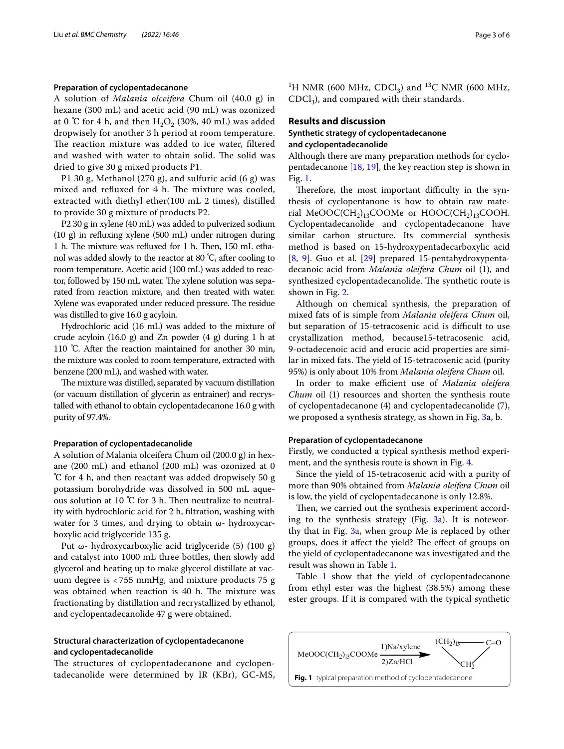#### **Preparation of cyclopentadecanone**

A solution of *Malania olceifera* Chum oil (40.0 g) in hexane (300 mL) and acetic acid (90 mL) was ozonized at 0 °C for 4 h, and then  $H_2O_2$  (30%, 40 mL) was added dropwisely for another 3 h period at room temperature. The reaction mixture was added to ice water, filtered and washed with water to obtain solid. The solid was dried to give 30 g mixed products P1.

P1 30 g, Methanol (270 g), and sulfuric acid (6 g) was mixed and refluxed for 4 h. The mixture was cooled, extracted with diethyl ether(100 mL 2 times), distilled to provide 30 g mixture of products P2.

P2 30 g in xylene (40 mL) was added to pulverized sodium (10 g) in refuxing xylene (500 mL) under nitrogen during 1 h. The mixture was refluxed for 1 h. Then, 150 mL ethanol was added slowly to the reactor at 80 ℃, after cooling to room temperature. Acetic acid (100 mL) was added to reactor, followed by 150 mL water. The xylene solution was separated from reaction mixture, and then treated with water. Xylene was evaporated under reduced pressure. The residue was distilled to give 16.0 g acyloin.

Hydrochloric acid (16 mL) was added to the mixture of crude acyloin  $(16.0 \text{ g})$  and Zn powder  $(4 \text{ g})$  during 1 h at 110 ℃. After the reaction maintained for another 30 min, the mixture was cooled to room temperature, extracted with benzene (200 mL), and washed with water.

The mixture was distilled, separated by vacuum distillation (or vacuum distillation of glycerin as entrainer) and recrystalled with ethanol to obtain cyclopentadecanone 16.0 g with purity of 97.4%.

#### **Preparation of cyclopentadecanolide**

A solution of Malania olceifera Chum oil (200.0 g) in hexane (200 mL) and ethanol (200 mL) was ozonized at 0 ℃ for 4 h, and then reactant was added dropwisely 50 g potassium borohydride was dissolved in 500 mL aqueous solution at 10  $°C$  for 3 h. Then neutralize to neutrality with hydrochloric acid for 2 h, fltration, washing with water for 3 times, and drying to obtain ω- hydroxycarboxylic acid triglyceride 135 g.

Put ω- hydroxycarboxylic acid triglyceride (5) (100 g) and catalyst into 1000 mL three bottles, then slowly add glycerol and heating up to make glycerol distillate at vacuum degree is <755 mmHg, and mixture products 75 g was obtained when reaction is 40 h. The mixture was fractionating by distillation and recrystallized by ethanol, and cyclopentadecanolide 47 g were obtained.

# **Structural characterization of cyclopentadecanone and cyclopentadecanolide**

The structures of cyclopentadecanone and cyclopentadecanolide were determined by IR (KBr), GC-MS,

<sup>1</sup>H NMR (600 MHz, CDCl<sub>3</sub>) and <sup>13</sup>C NMR (600 MHz,  $CDCl<sub>3</sub>$ ), and compared with their standards.

# **Results and discussion Synthetic strategy of cyclopentadecanone and cyclopentadecanolide**

Although there are many preparation methods for cyclopentadecanone [[18,](#page-5-14) [19](#page-5-25)], the key reaction step is shown in Fig. [1.](#page-2-0)

Therefore, the most important difficulty in the synthesis of cyclopentanone is how to obtain raw material MeOOC(CH<sub>2</sub>)<sub>13</sub>COOMe or HOOC(CH<sub>2</sub>)<sub>13</sub>COOH. Cyclopentadecanolide and cyclopentadecanone have similar carbon structure. Its commercial synthesis method is based on 15-hydroxypentadecarboxylic acid [[8,](#page-5-7) [9](#page-5-26)]. Guo et al. [\[29\]](#page-5-21) prepared 15-pentahydroxypentadecanoic acid from *Malania oleifera Chum* oil (1), and synthesized cyclopentadecanolide. The synthetic route is shown in Fig. [2](#page-3-0).

Although on chemical synthesis, the preparation of mixed fats of is simple from *Malania oleifera Chum* oil, but separation of 15-tetracosenic acid is difficult to use crystallization method, because15-tetracosenic acid, 9-octadecenoic acid and erucic acid properties are similar in mixed fats. The yield of 15-tetracosenic acid (purity 95%) is only about 10% from *Malania oleifera Chum* oil.

In order to make efficient use of *Malania oleifera Chum* oil (1) resources and shorten the synthesis route of cyclopentadecanone (4) and cyclopentadecanolide (7), we proposed a synthesis strategy, as shown in Fig. [3a](#page-3-1), b.

#### **Preparation of cyclopentadecanone**

Firstly, we conducted a typical synthesis method experiment, and the synthesis route is shown in Fig. [4.](#page-3-2)

Since the yield of 15-tetracosenic acid with a purity of more than 90% obtained from *Malania oleifera Chum* oil is low, the yield of cyclopentadecanone is only 12.8%.

Then, we carried out the synthesis experiment according to the synthesis strategy (Fig. [3a](#page-3-1)). It is noteworthy that in Fig. [3](#page-3-1)a, when group Me is replaced by other groups, does it affect the yield? The effect of groups on the yield of cyclopentadecanone was investigated and the result was shown in Table [1.](#page-4-1)

Table [1](#page-4-1) show that the yield of cyclopentadecanone from ethyl ester was the highest (38.5%) among these ester groups. If it is compared with the typical synthetic

<span id="page-2-0"></span>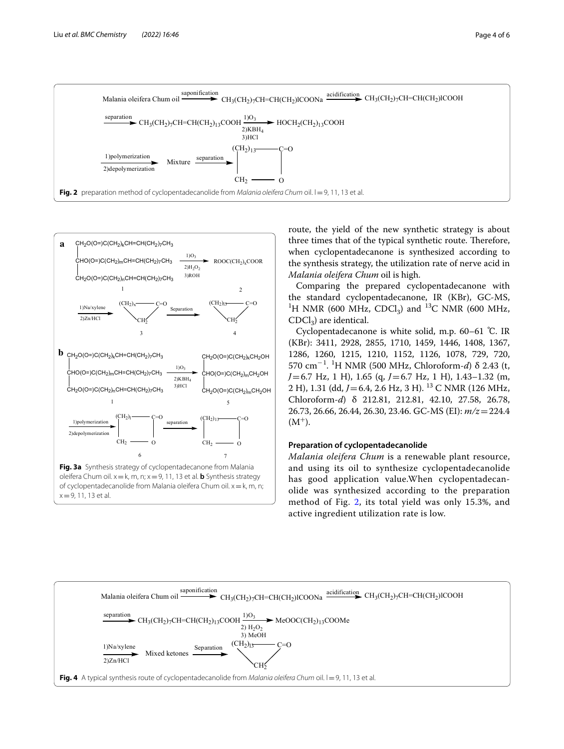

<span id="page-3-0"></span>

route, the yield of the new synthetic strategy is about three times that of the typical synthetic route. Therefore, when cyclopentadecanone is synthesized according to the synthesis strategy, the utilization rate of nerve acid in *Malania oleifera Chum* oil is high.

Comparing the prepared cyclopentadecanone with the standard cyclopentadecanone, IR (KBr), GC-MS, <sup>1</sup>H NMR (600 MHz, CDCl<sub>3</sub>) and <sup>13</sup>C NMR (600 MHz,  $CDCl<sub>3</sub>$ ) are identical.

Cyclopentadecanone is white solid, m.p. 60–61 ℃. IR (KBr): 3411, 2928, 2855, 1710, 1459, 1446, 1408, 1367, 1286, 1260, 1215, 1210, 1152, 1126, 1078, 729, 720, 570 cm−<sup>1</sup> . 1 H NMR (500 MHz, Chloroform-*d*) δ 2.43 (t, *J*=6.7 Hz, 1 H), 1.65 (q, *J*=6.7 Hz, 1 H), 1.43–1.32 (m, 2 H), 1.31 (dd, *J* = 6.4, 2.6 Hz, 3 H). <sup>13</sup> C NMR (126 MHz, Chloroform-*d*) δ 212.81, 212.81, 42.10, 27.58, 26.78, 26.73, 26.66, 26.44, 26.30, 23.46. GC-MS (EI): *m/z*=224.4  $(M^+).$ 

## **Preparation of cyclopentadecanolide**

*Malania oleifera Chum* is a renewable plant resource, and using its oil to synthesize cyclopentadecanolide has good application value.When cyclopentadecanolide was synthesized according to the preparation method of Fig. [2](#page-3-0), its total yield was only 15.3%, and active ingredient utilization rate is low.

<span id="page-3-2"></span><span id="page-3-1"></span>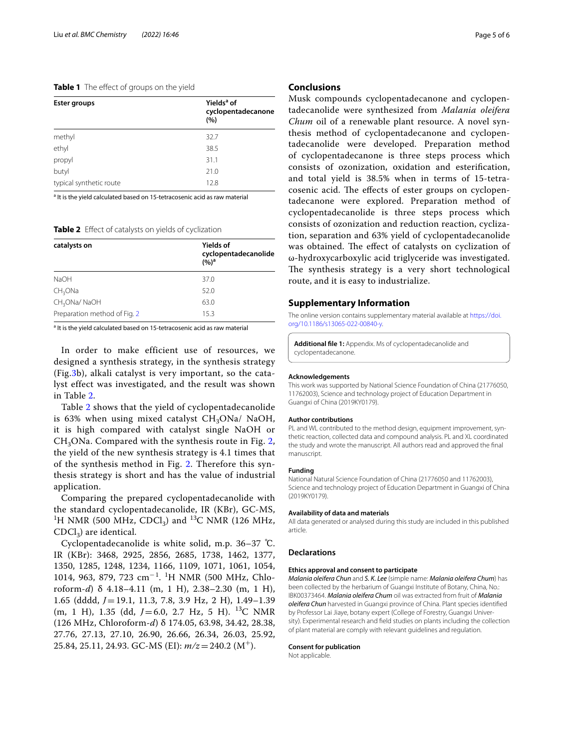### <span id="page-4-1"></span>**Table 1** The effect of groups on the yield

| <b>Ester groups</b>     | Yields <sup>a</sup> of<br>cyclopentadecanone<br>(%) |
|-------------------------|-----------------------------------------------------|
| methyl                  | 32.7                                                |
| ethyl                   | 38.5                                                |
| propyl                  | 31.1                                                |
| butyl                   | 21.0                                                |
| typical synthetic route | 12.8                                                |

<sup>a</sup> It is the yield calculated based on 15-tetracosenic acid as raw material

<span id="page-4-2"></span>**Table 2** Effect of catalysts on yields of cyclization

| catalysts on                 | <b>Yields of</b><br>cyclopentadecanolide<br>$(%)^a$ |
|------------------------------|-----------------------------------------------------|
| <b>NaOH</b>                  | 37.0                                                |
| CH <sub>3</sub> ONa          | 52.0                                                |
| CH <sub>3</sub> ONa/NaOH     | 63.0                                                |
| Preparation method of Fig. 2 | 15.3                                                |

<sup>a</sup> It is the yield calculated based on 15-tetracosenic acid as raw material

In order to make efficient use of resources, we designed a synthesis strategy, in the synthesis strategy (Fig.[3b](#page-3-1)), alkali catalyst is very important, so the catalyst effect was investigated, and the result was shown in Table [2](#page-4-2).

Table [2](#page-4-2) shows that the yield of cyclopentadecanolide is 63% when using mixed catalyst  $CH<sub>3</sub>ONa/$  NaOH, it is high compared with catalyst single NaOH or  $CH<sub>3</sub>ONa$ . Compared with the synthesis route in Fig. [2](#page-3-0), the yield of the new synthesis strategy is 4.1 times that of the synthesis method in Fig. [2](#page-3-0). Therefore this synthesis strategy is short and has the value of industrial application.

Comparing the prepared cyclopentadecanolide with the standard cyclopentadecanolide, IR (KBr), GC-MS, <sup>1</sup>H NMR (500 MHz, CDCl<sub>3</sub>) and <sup>13</sup>C NMR (126 MHz,  $CDCl<sub>3</sub>$ ) are identical.

Cyclopentadecanolide is white solid, m.p. 36–37 ℃. IR (KBr): 3468, 2925, 2856, 2685, 1738, 1462, 1377, 1350, 1285, 1248, 1234, 1166, 1109, 1071, 1061, 1054, 1014, 963, 879, 723 cm<sup>−1</sup>. <sup>1</sup>H NMR (500 MHz, Chloroform-*d*) δ 4.18–4.11 (m, 1 H), 2.38–2.30 (m, 1 H), 1.65 (dddd, *J*=19.1, 11.3, 7.8, 3.9 Hz, 2 H), 1.49–1.39 (m, 1 H), 1.35 (dd, *J*=6.0, 2.7 Hz, 5 H). 13C NMR (126 MHz, Chloroform-*d*) δ 174.05, 63.98, 34.42, 28.38, 27.76, 27.13, 27.10, 26.90, 26.66, 26.34, 26.03, 25.92, 25.84, 25.11, 24.93. GC-MS (EI): *m/z*=240.2 (M<sup>+</sup>).

#### **Conclusions**

Musk compounds cyclopentadecanone and cyclopentadecanolide were synthesized from *Malania oleifera Chum* oil of a renewable plant resource. A novel synthesis method of cyclopentadecanone and cyclopentadecanolide were developed. Preparation method of cyclopentadecanone is three steps process which consists of ozonization, oxidation and esterifcation, and total yield is 38.5% when in terms of 15-tetracosenic acid. The effects of ester groups on cyclopentadecanone were explored. Preparation method of cyclopentadecanolide is three steps process which consists of ozonization and reduction reaction, cyclization, separation and 63% yield of cyclopentadecanolide was obtained. The effect of catalysts on cyclization of ω-hydroxycarboxylic acid triglyceride was investigated. The synthesis strategy is a very short technological route, and it is easy to industrialize.

#### **Supplementary Information**

The online version contains supplementary material available at [https://doi.](https://doi.org/10.1186/s13065-022-00840-y) [org/10.1186/s13065-022-00840-y.](https://doi.org/10.1186/s13065-022-00840-y)

<span id="page-4-0"></span>**Additional fle 1:** Appendix. Ms of cyclopentadecanolide and cyclopentadecanone.

#### **Acknowledgements**

This work was supported by National Science Foundation of China (21776050, 11762003), Science and technology project of Education Department in Guangxi of China (2019KY0179).

#### **Author contributions**

PL and WL contributed to the method design, equipment improvement, synthetic reaction, collected data and compound analysis. PL and XL coordinated the study and wrote the manuscript. All authors read and approved the fnal manuscript.

#### **Funding**

National Natural Science Foundation of China (21776050 and 11762003), Science and technology project of Education Department in Guangxi of China (2019KY0179).

#### **Availability of data and materials**

All data generated or analysed during this study are included in this published article.

#### **Declarations**

#### **Ethics approval and consent to participate**

*Malania oleifera Chun* and *S. K. Lee* (simple name: *Malania oleifera Chum*) has been collected by the herbarium of Guangxi Institute of Botany, China, No.: IBK00373464. *Malania oleifera Chum* oil was extracted from fruit of *Malania oleifera Chun* harvested in Guangxi province of China. Plant species identifed by Professor Lai Jiaye, botany expert (College of Forestry, Guangxi University). Experimental research and feld studies on plants including the collection of plant material are comply with relevant guidelines and regulation.

#### **Consent for publication**

Not applicable.